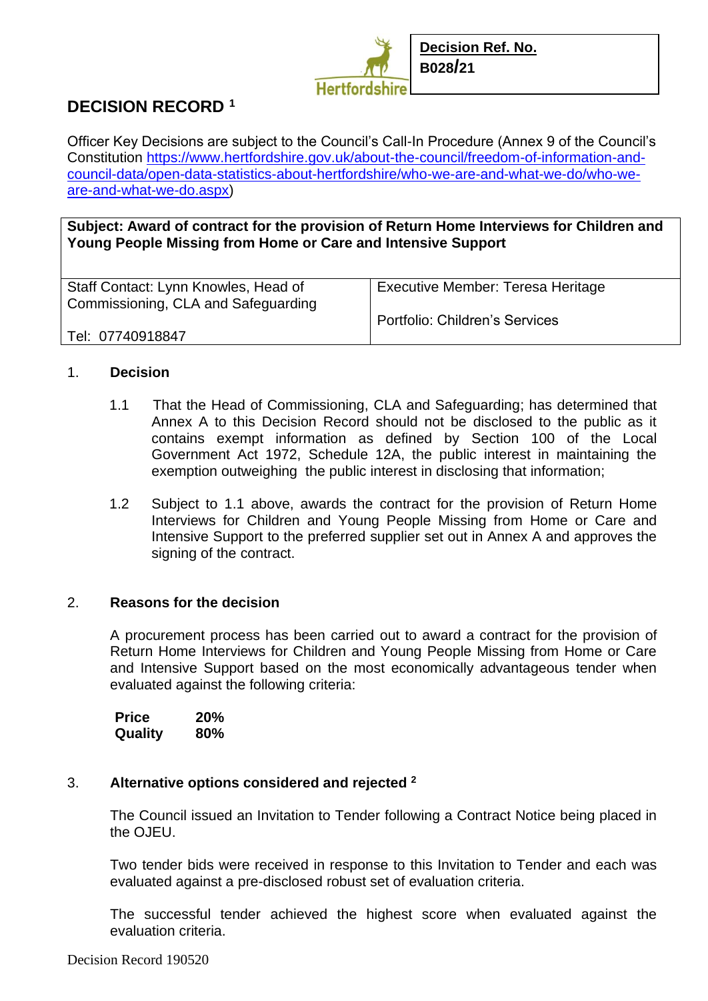

# **DECISION RECORD <sup>1</sup>**

Officer Key Decisions are subject to the Council's Call-In Procedure (Annex 9 of the Council's Constitution [https://www.hertfordshire.gov.uk/about-the-council/freedom-of-information-and](https://www.hertfordshire.gov.uk/about-the-council/freedom-of-information-and-council-data/open-data-statistics-about-hertfordshire/who-we-are-and-what-we-do/who-we-are-and-what-we-do.aspx)[council-data/open-data-statistics-about-hertfordshire/who-we-are-and-what-we-do/who-we](https://www.hertfordshire.gov.uk/about-the-council/freedom-of-information-and-council-data/open-data-statistics-about-hertfordshire/who-we-are-and-what-we-do/who-we-are-and-what-we-do.aspx)[are-and-what-we-do.aspx\)](https://www.hertfordshire.gov.uk/about-the-council/freedom-of-information-and-council-data/open-data-statistics-about-hertfordshire/who-we-are-and-what-we-do/who-we-are-and-what-we-do.aspx)

**Subject: Award of contract for the provision of Return Home Interviews for Children and Young People Missing from Home or Care and Intensive Support**

| Staff Contact: Lynn Knowles, Head of<br>Commissioning, CLA and Safeguarding | <b>Executive Member: Teresa Heritage</b> |
|-----------------------------------------------------------------------------|------------------------------------------|
|                                                                             | Portfolio: Children's Services           |
| Tel: 07740918847                                                            |                                          |

## 1. **Decision**

- 1.1 That the Head of Commissioning, CLA and Safeguarding; has determined that Annex A to this Decision Record should not be disclosed to the public as it contains exempt information as defined by Section 100 of the Local Government Act 1972, Schedule 12A, the public interest in maintaining the exemption outweighing the public interest in disclosing that information;
- 1.2 Subject to 1.1 above, awards the contract for the provision of Return Home Interviews for Children and Young People Missing from Home or Care and Intensive Support to the preferred supplier set out in Annex A and approves the signing of the contract.

### 2. **Reasons for the decision**

A procurement process has been carried out to award a contract for the provision of Return Home Interviews for Children and Young People Missing from Home or Care and Intensive Support based on the most economically advantageous tender when evaluated against the following criteria:

| <b>Price</b> | <b>20%</b> |
|--------------|------------|
| Quality      | 80%        |

### 3. **Alternative options considered and rejected <sup>2</sup>**

The Council issued an Invitation to Tender following a Contract Notice being placed in the OJEU.

Two tender bids were received in response to this Invitation to Tender and each was evaluated against a pre-disclosed robust set of evaluation criteria.

The successful tender achieved the highest score when evaluated against the evaluation criteria.